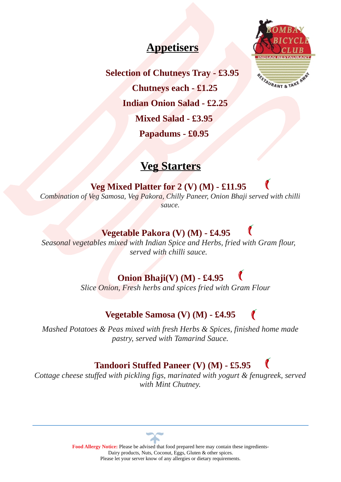# **Appetisers**



**Selection of Chutneys Tray - £3.95 Chutneys each - £1.25**

 **Indian Onion Salad - £2.25**

 **Mixed Salad - £3.95**

 **Papadums - £0.95**

# **Veg Starters**

 **Veg Mixed Platter for 2 (V) (M) - £11.95**  *Combination of Veg Samosa, Veg Pakora, Chilly Paneer, Onion Bhaji served with chilli sauce.*

# **Vegetable Pakora (V) (M) - £4.95**

*Seasonal vegetables mixed with Indian Spice and Herbs, fried with Gram flour, served with chilli sauce.*

# **Onion Bhaji(V) (M) - £4.95**

*Slice Onion, Fresh herbs and spices fried with Gram Flour*

# **Vegetable Samosa (V) (M) - £4.95**

*Mashed Potatoes & Peas mixed with fresh Herbs & Spices, finished home made pastry, served with Tamarind Sauce.*

# **Tandoori Stuffed Paneer (V) (M) - £5.95**

*Cottage cheese stuffed with pickling figs, marinated with yogurt & fenugreek, served with Mint Chutney.*

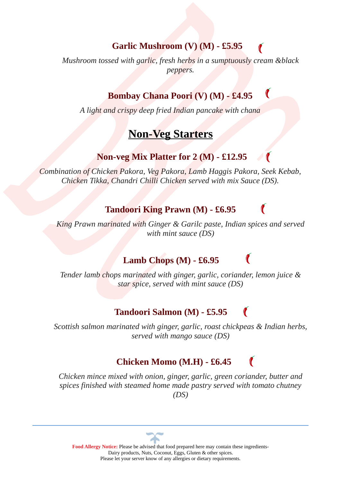### **Garlic Mushroom (V) (M) - £5.95**

*Mushroom tossed with garlic, fresh herbs in a sumptuously cream &black peppers.*

### **Bombay Chana Poori (V) (M) - £4.95**

*A light and crispy deep fried Indian pancake with chana*

# **Non-Veg Starters**

### **Non-veg Mix Platter for 2 (M) - £12.95**

*Combination of Chicken Pakora, Veg Pakora, Lamb Haggis Pakora, Seek Kebab, Chicken Tikka, Chandri Chilli Chicken served with mix Sauce (DS).*

#### **Tandoori King Prawn (M) - £6.95**

*King Prawn marinated with Ginger & Garilc paste, Indian spices and served with mint sauce (DS)*

### **Lamb Chops (M) - £6.95**

C

*Tender lamb chops marinated with ginger, garlic, coriander, lemon juice & star spice, served with mint sauce (DS)*

#### C  **Tandoori Salmon (M) - £5.95**

*Scottish salmon marinated with ginger, garlic, roast chickpeas & Indian herbs, served with mango sauce (DS)*

### **Chicken Momo (M.H) - £6.45**

*Chicken mince mixed with onion, ginger, garlic, green coriander, butter and spices finished with steamed home made pastry served with tomato chutney (DS)*

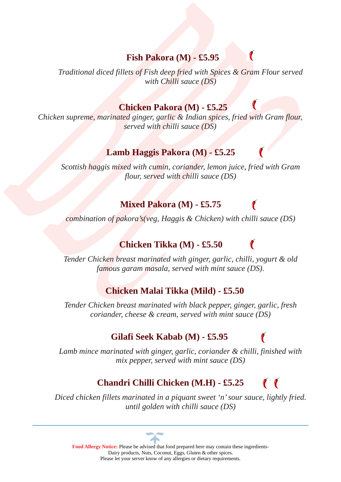### **Fish Pakora (M) - £5.95**

*Traditional diced fillets of Fish deep fried with Spices & Gram Flour served with Chilli sauce (DS)*

### **Chicken Pakora (M) - £5.25**

*Chicken supreme, marinated ginger, garlic & Indian spices, fried with Gram flour, served with chilli sauce (DS)*

### **Lamb Haggis Pakora (M) - £5.25**

*Scottish haggis mixed with cumin, coriander, lemon juice, fried with Gram flour, served with chilli sauce (DS)*

### **Mixed Pakora (M) - £5.75**

*combination of pakora's(veg, Haggis & Chicken) with chilli sauce (DS)*

# **Chicken Tikka (M) - £5.50**

*Tender Chicken breast marinated with ginger, garlic, chilli, yogurt & old famous garam masala, served with mint sauce (DS).*

C

### **Chicken Malai Tikka (Mild) - £5.50**

*Tender Chicken breast marinated with black pepper, ginger, garlic, fresh coriander, cheese & cream, served with mint sauce (DS)*

# **Gilafi Seek Kabab (M) - £5.95**

*Lamb mince marinated with ginger, garlic, coriander & chilli, finished with mix pepper, served with mint sauce (DS)*

#### $\mathbf{C}$  **Chandri Chilli Chicken (M.H) - £5.25**

*Diced chicken fillets marinated in a piquant sweet 'n' sour sauce, lightly fried. until golden with chilli sauce (DS)*

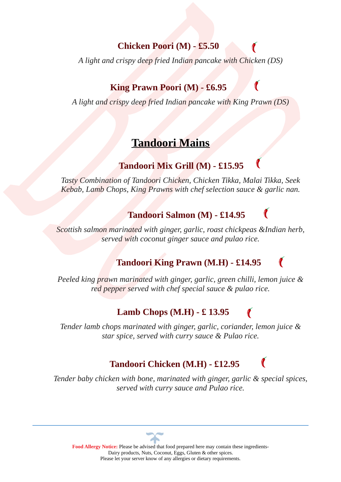### **Chicken Poori (M) - £5.50**

*A light and crispy deep fried Indian pancake with Chicken (DS)*

### **King Prawn Poori (M) - £6.95**

*A light and crispy deep fried Indian pancake with King Prawn (DS)*

# **Tandoori Mains**

# **Tandoori Mix Grill (M) - £15.95**

*Tasty Combination of Tandoori Chicken, Chicken Tikka, Malai Tikka, Seek Kebab, Lamb Chops, King Prawns with chef selection sauce & garlic nan.*

## **Tandoori Salmon (M) - £14.95**

**C** 

*Scottish salmon marinated with ginger, garlic, roast chickpeas &Indian herb, served with coconut ginger sauce and pulao rice.*

# **Tandoori King Prawn (M.H) - £14.95**

*Peeled king prawn marinated with ginger, garlic, green chilli, lemon juice & red pepper served with chef special sauce & pulao rice.*

# **Lamb Chops (M.H) - £ 13.95**

*Tender lamb chops marinated with ginger, garlic, coriander, lemon juice & star spice, served with curry sauce & Pulao rice.*

# **Tandoori Chicken (M.H) - £12.95**

*Tender baby chicken with bone, marinated with ginger, garlic & special spices, served with curry sauce and Pulao rice.*

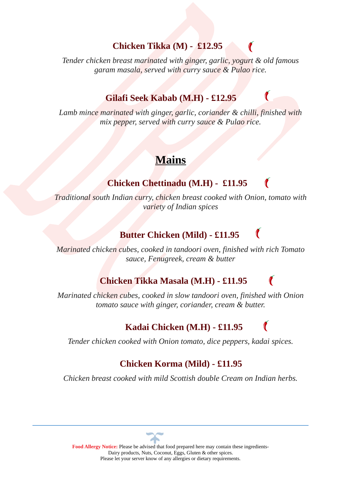### **Chicken Tikka (M) - £12.95**

*Tender chicken breast marinated with ginger, garlic, yogurt & old famous garam masala, served with curry sauce & Pulao rice.*

### **Gilafi Seek Kabab (M.H) - £12.95**

*Lamb mince marinated with ginger, garlic, coriander & chilli, finished with mix pepper, served with curry sauce & Pulao rice.*

C

# **Mains**

### **Chicken Chettinadu (M.H) - £11.95**

*Traditional south Indian curry, chicken breast cooked with Onion, tomato with variety of Indian spices*

### **Butter Chicken (Mild) - £11.95**

*Marinated chicken cubes, cooked in tandoori oven, finished with rich Tomato sauce, Fenugreek, cream & butter*

### **Chicken Tikka Masala (M.H) - £11.95**

*Marinated chicken cubes, cooked in slow tandoori oven, finished with Onion tomato sauce with ginger, coriander, cream & butter.*

### **Kadai Chicken (M.H) - £11.95**

*Tender chicken cooked with Onion tomato, dice peppers, kadai spices.*

### **Chicken Korma (Mild) - £11.95**

*Chicken breast cooked with mild Scottish double Cream on Indian herbs.*

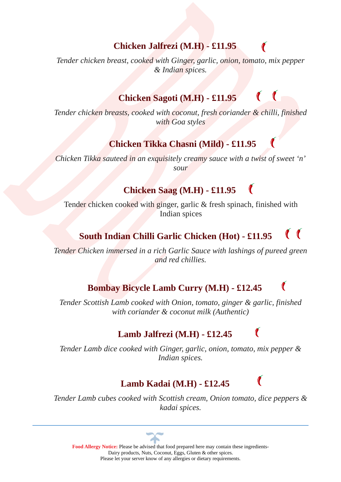### **Chicken Jalfrezi (M.H) - £11.95**

*Tender chicken breast, cooked with Ginger, garlic, onion, tomato, mix pepper & Indian spices.*

#### $\mathcal{C}$  **Chicken Sagoti (M.H) - £11.95**

*Tender chicken breasts, cooked with coconut, fresh coriander & chilli, finished with Goa styles*

### **Chicken Tikka Chasni (Mild) - £11.95**

*Chicken Tikka sauteed in an exquisitely creamy sauce with a twist of sweet 'n' sour*

### **Chicken Saag (M.H) - £11.95**

Tender chicken cooked with ginger, garlic & fresh spinach, finished with Indian spices

#### $\bullet$  **South Indian Chilli Garlic Chicken (Hot) - £11.95**

*Tender Chicken immersed in a rich Garlic Sauce with lashings of pureed green and red chillies.*

### **Bombay Bicycle Lamb Curry (M.H) - £12.45**

*Tender Scottish Lamb cooked with Onion, tomato, ginger & garlic, finished with coriander & coconut milk (Authentic)*

# **Lamb Jalfrezi (M.H) - £12.45**

C

*Tender Lamb dice cooked with Ginger, garlic, onion, tomato, mix pepper & Indian spices.*

### **Lamb Kadai (M.H) - £12.45**

*Tender Lamb cubes cooked with Scottish cream, Onion tomato, dice peppers & kadai spices.*

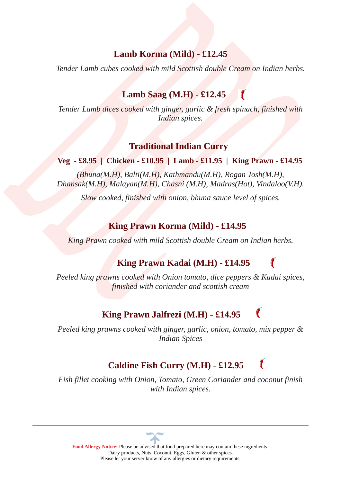### **Lamb Korma (Mild) - £12.45**

*Tender Lamb cubes cooked with mild Scottish double Cream on Indian herbs.*

### **Lamb Saag (M.H) - £12.45**

*Tender Lamb dices cooked with ginger, garlic & fresh spinach, finished with Indian spices.*

C

C

#### **Traditional Indian Curry**

#### **Veg - £8.95 | Chicken - £10.95 | Lamb - £11.95 | King Prawn - £14.95**

*(Bhuna(M.H), Balti(M.H), Kathmandu(M.H), Rogan Josh(M.H), Dhansak(M.H), Malayan(M.H), Chasni (M.H), Madras(Hot), Vindaloo(V.H).*

*Slow cooked, finished with onion, bhuna sauce level of spices.*

#### **King Prawn Korma (Mild) - £14.95**

*King Prawn cooked with mild Scottish double Cream on Indian herbs.*

### **King Prawn Kadai (M.H) - £14.95**

*Peeled king prawns cooked with Onion tomato, dice peppers & Kadai spices, finished with coriander and scottish cream*

### **King Prawn Jalfrezi (M.H) - £14.95**

*Peeled king prawns cooked with ginger, garlic, onion, tomato, mix pepper & Indian Spices*

# **Caldine Fish Curry (M.H) - £12.95**

*Fish fillet cooking with Onion, Tomato, Green Coriander and coconut finish with Indian spices.*

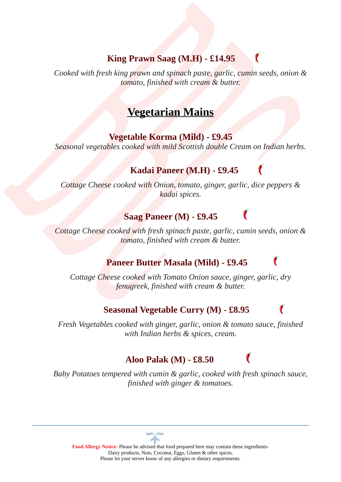### **King Prawn Saag (M.H) - £14.95**

*Cooked with fresh king prawn and spinach paste, garlic, cumin seeds, onion & tomato, finished with cream & butter.*

C

# **Vegetarian Mains**

#### **Vegetable Korma (Mild) - £9.45**

*Seasonal vegetables cooked with mild Scottish double Cream on Indian herbs.*

### **Kadai Paneer (M.H) - £9.45**

*Cottage Cheese cooked with Onion, tomato, ginger, garlic, dice peppers & kadai spices.*

### **Saag Paneer (M) - £9.45**

*Cottage Cheese cooked with fresh spinach paste, garlic, cumin seeds, onion & tomato, finished with cream & butter.*

### **Paneer Butter Masala (Mild) - £9.45**

*Cottage Cheese cooked with Tomato Onion sauce, ginger, garlic, dry fenugreek, finished with cream & butter.*

### **Seasonal Vegetable Curry (M) - £8.95**

*Fresh Vegetables cooked with ginger, garlic, onion & tomato sauce, finished with Indian herbs & spices, cream.*

### **Aloo Palak (M) - £8.50**

*Baby Potatoes tempered with cumin & garlic, cooked with fresh spinach sauce, finished with ginger & tomatoes.*

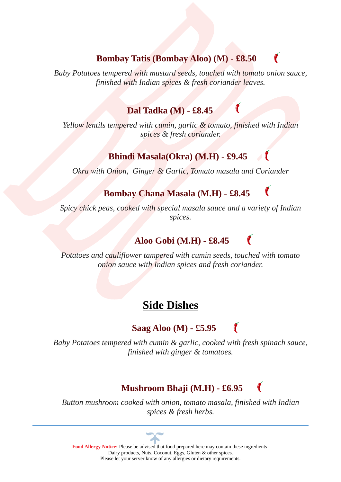### **Bombay Tatis (Bombay Aloo) (M) - £8.50**

*Baby Potatoes tempered with mustard seeds, touched with tomato onion sauce, finished with Indian spices & fresh coriander leaves.*

### **Dal Tadka (M) - £8.45**

*Yellow lentils tempered with cumin, garlic & tomato, finished with Indian spices & fresh coriander.*

### **Bhindi Masala(Okra) (M.H) - £9.45**

*Okra with Onion, Ginger & Garlic, Tomato masala and Coriander*

### **Bombay Chana Masala (M.H) - £8.45**

*Spicy chick peas, cooked with special masala sauce and a variety of Indian spices.*

## **Aloo Gobi (M.H) - £8.45**

*Potatoes and cauliflower tampered with cumin seeds, touched with tomato onion sauce with Indian spices and fresh coriander.*

# **Side Dishes**

# **Saag Aloo (M) - £5.95**

*Baby Potatoes tempered with cumin & garlic, cooked with fresh spinach sauce, finished with ginger & tomatoes.*

# **Mushroom Bhaji (M.H) - £6.95**

*Button mushroom cooked with onion, tomato masala, finished with Indian spices & fresh herbs.*

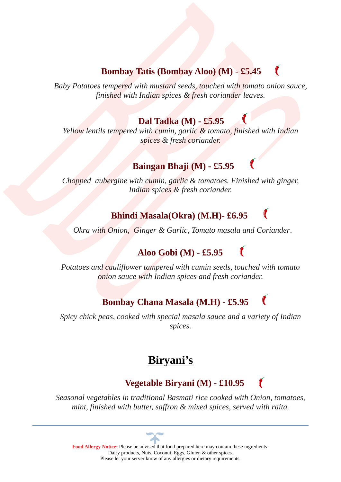## **Bombay Tatis (Bombay Aloo) (M) - £5.45**

 $\mathcal C$ 

*Baby Potatoes tempered with mustard seeds, touched with tomato onion sauce, finished with Indian spices & fresh coriander leaves.*

### **Dal Tadka (M) - £5.95**

*Yellow lentils tempered with cumin, garlic & tomato, finished with Indian spices & fresh coriander.*

# **Baingan Bhaji (M) - £5.95**

*Chopped aubergine with cumin, garlic & tomatoes. Finished with ginger, Indian spices & fresh coriander.*

## **Bhindi Masala(Okra) (M.H)- £6.95**

 *Okra with Onion, Ginger & Garlic, Tomato masala and Coriander*.

# **Aloo Gobi (M) - £5.95**

*Potatoes and cauliflower tampered with cumin seeds, touched with tomato onion sauce with Indian spices and fresh coriander.*

# **Bombay Chana Masala (M.H) - £5.95**

*Spicy chick peas, cooked with special masala sauce and a variety of Indian spices.*

# **Biryani's**

### **Vegetable Biryani (M) - £10.95**

*Seasonal vegetables in traditional Basmati rice cooked with Onion, tomatoes, mint, finished with butter, saffron & mixed spices, served with raita.*

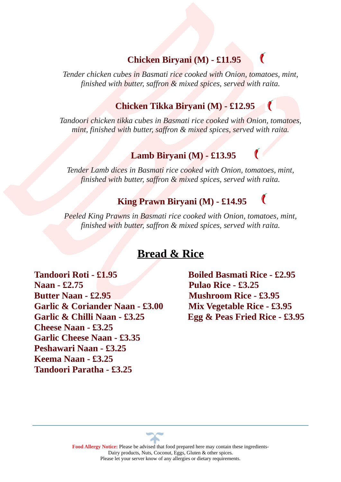### **Chicken Biryani (M) - £11.95**

*Tender chicken cubes in Basmati rice cooked with Onion, tomatoes, mint, finished with butter, saffron & mixed spices, served with raita.*

### **Chicken Tikka Biryani (M) - £12.95**

*Tandoori chicken tikka cubes in Basmati rice cooked with Onion, tomatoes, mint, finished with butter, saffron & mixed spices, served with raita.*

#### **Lamb Biryani (M) - £13.95**

*Tender Lamb dices in Basmati rice cooked with Onion, tomatoes, mint, finished with butter, saffron & mixed spices, served with raita.*

### **King Prawn Biryani (M) - £14.95**

*Peeled King Prawns in Basmati rice cooked with Onion, tomatoes, mint, finished with butter, saffron & mixed spices, served with raita.*

### **Bread & Rice**

**Tandoori Roti - £1.95 Boiled Basmati Rice - £2.95 Naan - £2.75 Pulao Rice - £3.25 Butter Naan - £2.95 Mushroom Rice - £3.95 Garlic & Coriander Naan - £3.00 Mix Vegetable Rice - £3.95 Garlic & Chilli Naan - £3.25 Egg & Peas Fried Rice - £3.95 Cheese Naan - £3.25 Garlic Cheese Naan - £3.35 Peshawari Naan - £3.25 Keema Naan - £3.25 Tandoori Paratha - £3.25**

 $\bullet$ 

C